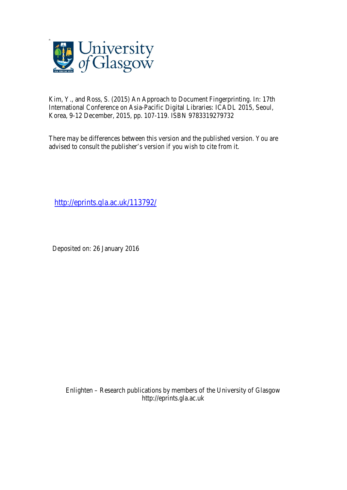

Kim, Y., and Ross, S. (2015) An Approach to Document Fingerprinting. In: 17th International Conference on Asia-Pacific Digital Libraries: ICADL 2015, Seoul, Korea, 9-12 December, 2015, pp. 107-119. ISBN 9783319279732

There may be differences between this version and the published version. You are advised to consult the publisher's version if you wish to cite from it.

http://eprints.gla.ac.uk/113792/

Deposited on: 26 January 2016

Enlighten – Research publications by members of the University of Glasgow http://eprints.gla.ac.uk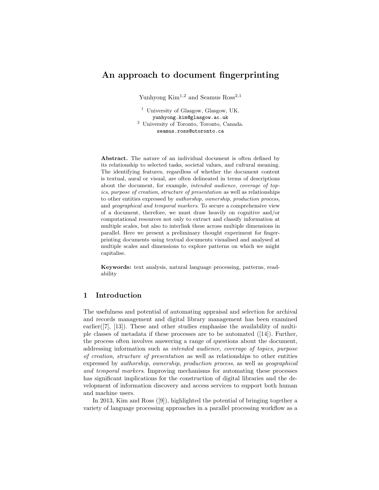# An approach to document fingerprinting

Yunhyong  $Kim^{1,2}$  and Seamus  $Ross^{2,1}$ 

<sup>1</sup> University of Glasgow, Glasgow, UK. yunhyong.kim@glasgow.ac.uk <sup>2</sup> University of Toronto, Toronto, Canada. seamus.ross@utoronto.ca

Abstract. The nature of an individual document is often defined by its relationship to selected tasks, societal values, and cultural meaning. The identifying features, regardless of whether the document content is textual, aural or visual, are often delineated in terms of descriptions about the document, for example, intended audience, coverage of topics, purpose of creation, structure of presentation as well as relationships to other entities expressed by authorship, ownership, production process, and geographical and temporal markers. To secure a comprehensive view of a document, therefore, we must draw heavily on cognitive and/or computational resources not only to extract and classify information at multiple scales, but also to interlink these across multiple dimensions in parallel. Here we present a preliminary thought experiment for fingerprinting documents using textual documents visualised and analysed at multiple scales and dimensions to explore patterns on which we might capitalise.

Keywords: text analysis, natural language processing, patterns, readability

### 1 Introduction

The usefulness and potential of automating appraisal and selection for archival and records management and digital library management has been examined earlier([7], [13]). These and other studies emphasise the availability of multiple classes of metadata if these processes are to be automated ([14]). Further, the process often involves answering a range of questions about the document, addressing information such as intended audience, coverage of topics, purpose of creation, structure of presentation as well as relationships to other entities expressed by authorship, ownership, production process, as well as geographical and temporal markers. Improving mechanisms for automating these processes has significant implications for the construction of digital libraries and the development of information discovery and access services to support both human and machine users.

In 2013, Kim and Ross ([9]), highlighted the potential of bringing together a variety of language processing approaches in a parallel processing workflow as a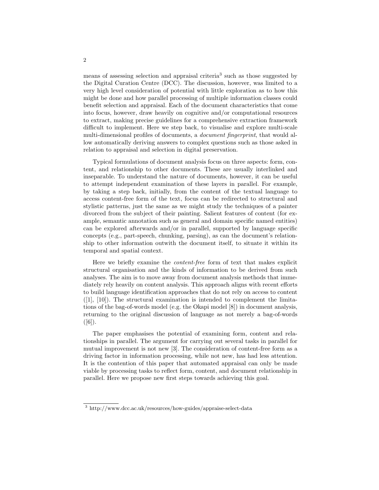means of assessing selection and appraisal criteria<sup>3</sup> such as those suggested by the Digital Curation Centre (DCC). The discussion, however, was limited to a very high level consideration of potential with little exploration as to how this might be done and how parallel processing of multiple information classes could benefit selection and appraisal. Each of the document characteristics that come into focus, however, draw heavily on cognitive and/or computational resources to extract, making precise guidelines for a comprehensive extraction framework difficult to implement. Here we step back, to visualise and explore multi-scale multi-dimensional profiles of documents, a *document fingerprint*, that would allow automatically deriving answers to complex questions such as those asked in relation to appraisal and selection in digital preservation.

Typical formulations of document analysis focus on three aspects: form, content, and relationship to other documents. These are usually interlinked and inseparable. To understand the nature of documents, however, it can be useful to attempt independent examination of these layers in parallel. For example, by taking a step back, initially, from the content of the textual language to access content-free form of the text, focus can be redirected to structural and stylistic patterns, just the same as we might study the techniques of a painter divorced from the subject of their painting. Salient features of content (for example, semantic annotation such as general and domain specific named entities) can be explored afterwards and/or in parallel, supported by language specific concepts (e.g., part-speech, chunking, parsing), as can the document's relationship to other information outwith the document itself, to situate it within its temporal and spatial context.

Here we briefly examine the content-free form of text that makes explicit structural organisation and the kinds of information to be derived from such analyses. The aim is to move away from document analysis methods that immediately rely heavily on content analysis. This approach aligns with recent efforts to build language identification approaches that do not rely on access to content  $([1], [10])$ . The structural examination is intended to complement the limitations of the bag-of-words model (e.g. the Okapi model [8]) in document analysis, returning to the original discussion of language as not merely a bag-of-words  $([6])$ .

The paper emphasises the potential of examining form, content and relationships in parallel. The argument for carrying out several tasks in parallel for mutual improvement is not new [3]. The consideration of content-free form as a driving factor in information processing, while not new, has had less attention. It is the contention of this paper that automated appraisal can only be made viable by processing tasks to reflect form, content, and document relationship in parallel. Here we propose new first steps towards achieving this goal.

<sup>3</sup> http://www.dcc.ac.uk/resources/how-guides/appraise-select-data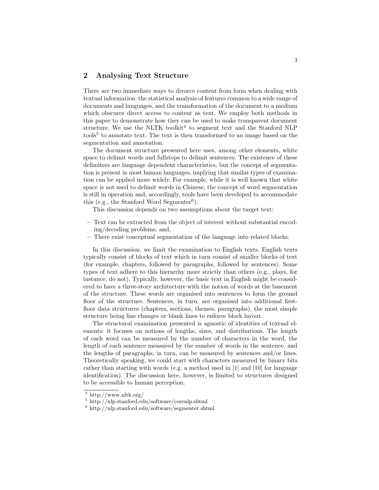## 2 Analysing Text Structure

There are two immediate ways to divorce content from form when dealing with textual information: the statistical analysis of features common to a wide range of documents and languages, and the transformation of the document to a medium which obscures direct access to content as text. We employ both methods in this paper to demonstrate how they can be used to make transparent document structure. We use the NLTK toolkit<sup>4</sup> to segment text and the Stanford NLP tools<sup>5</sup> to annotate text. The text is then transformed to an image based on the segmentation and annotation.

The document structure presented here uses, among other elements, white space to delimit words and fullstops to delimit sentences. The existence of these delimiters are language dependent characteristics, but the concept of segmentation is present in most human languages, implying that similar types of examination can be applied more widely. For example, while it is well known that white space is not used to delimit words in Chinese, the concept of word segmentation is still in operation and, accordingly, tools have been developed to accommodate this (e.g., the Stanford Word Segmenter<sup>6</sup>).

This discussion depends on two assumptions about the target text:

- Text can be extracted from the object of interest without substantial encoding/decoding problems; and,
- There exist conceptual segmentation of the language into related blocks.

In this discussion, we limit the examination to English texts. English texts typically consist of blocks of text which in turn consist of smaller blocks of text (for example, chapters, followed by paragraphs, followed by sentences). Some types of text adhere to this hierarchy more strictly than others (e.g., plays, for instance, do not). Typically, however, the basic text in English might be considered to have a three-story architecture with the notion of words at the basement of the structure. These words are organised into sentences to form the ground floor of the structure. Sentences, in turn, are organised into additional firstfloor data structures (chapters, sections, themes, paragraphs), the most simple structure being line changes or blank lines to enforce block layout.

The structural examination presented is agnostic of identities of textual elements: it focuses on notions of lengths, sizes, and distributions. The length of each word can be measured by the number of characters in the word, the length of each sentence measured by the number of words in the sentence, and the lengths of paragraphs, in turn, can be measured by sentences and/or lines. Theoretically speaking, we could start with characters measured by binary bits rather than starting with words (e.g. a method used in [1] and [10] for language identification). The discussion here, however, is limited to structures designed to be accessible to human perception.

<sup>4</sup> http://www.nltk.org/

<sup>5</sup> http://nlp.stanford.edu/software/corenlp.shtml

<sup>6</sup> http://nlp.stanford.edu/software/segmenter.shtml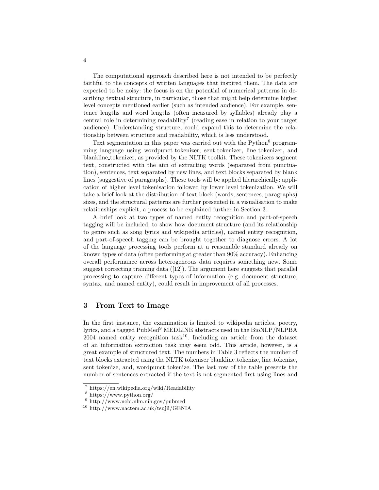The computational approach described here is not intended to be perfectly faithful to the concepts of written languages that inspired them. The data are expected to be noisy: the focus is on the potential of numerical patterns in describing textual structure, in particular, those that might help determine higher level concepts mentioned earlier (such as intended audience). For example, sentence lengths and word lengths (often measured by syllables) already play a central role in determining readability<sup>7</sup> (reading ease in relation to your target audience). Understanding structure, could expand this to determine the relationship between structure and readability, which is less understood.

Text segmentation in this paper was carried out with the Python<sup>8</sup> programming language using wordpunct tokenizer, sent tokenizer, line tokenizer, and blankline tokenizer, as provided by the NLTK toolkit. These tokenizers segment text, constructed with the aim of extracting words (separated from punctuation), sentences, text separated by new lines, and text blocks separated by blank lines (suggestive of paragraphs). These tools will be applied hierarchically: application of higher level tokenisation followed by lower level tokenization. We will take a brief look at the distribution of text block (words, sentences, paragraphs) sizes, and the structural patterns are further presented in a visualisation to make relationships explicit, a process to be explained further in Section 3.

A brief look at two types of named entity recognition and part-of-speech tagging will be included, to show how document structure (and its relationship to genre such as song lyrics and wikipedia articles), named entity recognition, and part-of-speech tagging can be brought together to diagnose errors. A lot of the language processing tools perform at a reasonable standard already on known types of data (often performing at greater than 90% accuracy). Enhancing overall performance across heterogeneous data requires something new. Some suggest correcting training data ([12]). The argument here suggests that parallel processing to capture different types of information (e.g. document structure, syntax, and named entity), could result in improvement of all processes.

## 3 From Text to Image

In the first instance, the examination is limited to wikipedia articles, poetry, lyrics, and a tagged PubMed<sup>9</sup> MEDLINE abstracts used in the BioNLP/NLPBA 2004 named entity recognition task<sup>10</sup>. Including an article from the dataset of an information extraction task may seem odd. This article, however, is a great example of structured text. The numbers in Table 3 reflects the number of text blocks extracted using the NLTK tokeniser blankline tokenize, line tokenize, sent tokenize, and, wordpunct tokenize. The last row of the table presents the number of sentences extracted if the text is not segmented first using lines and

4

<sup>7</sup> https://en.wikipedia.org/wiki/Readability

<sup>8</sup> https://www.python.org/

<sup>9</sup> http://www.ncbi.nlm.nih.gov/pubmed

<sup>10</sup> http://www.nactem.ac.uk/tsujii/GENIA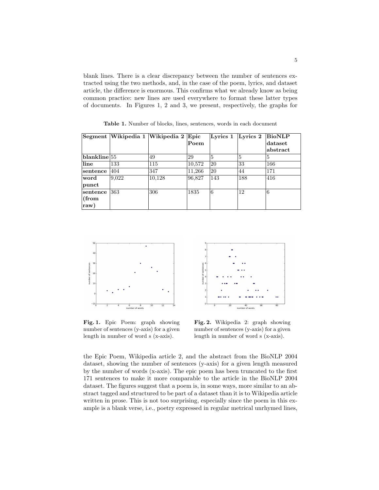blank lines. There is a clear discrepancy between the number of sentences extracted using the two methods, and, in the case of the poem, lyrics, and dataset article, the difference is enormous. This confirms what we already know as being common practice: new lines are used everywhere to format these latter types of documents. In Figures 1, 2 and 3, we present, respectively, the graphs for

|                           |       | Segment Wikipedia 1 Wikipedia 2 | Epic<br>Poem | Lyrics 1 | Lyrics 2 | <b>BioNLP</b><br>dataset<br>abstract |
|---------------------------|-------|---------------------------------|--------------|----------|----------|--------------------------------------|
| blankline 55              |       | 49                              | 29           | 5        | 5        | 5                                    |
| line                      | 133   | 115                             | 10,572       | 20       | 33       | 166                                  |
| sentence                  | 404   | 347                             | 11,266       | 20       | 44       | 171                                  |
| word<br>punct             | 9,022 | 10,128                          | 96,827       | 143      | 188      | 416                                  |
| sentence<br>(from<br>raw) | 363   | 306                             | 1835         | 6        | 12       | 6                                    |

Table 1. Number of blocks, lines, sentences, words in each document



Fig. 1. Epic Poem: graph showing number of sentences (y-axis) for a given length in number of word s (x-axis).



Fig. 2. Wikipedia 2: graph showing number of sentences (y-axis) for a given length in number of word s (x-axis).

the Epic Poem, Wikipedia article 2, and the abstract from the BioNLP 2004 dataset, showing the number of sentences (y-axis) for a given length measured by the number of words (x-axis). The epic poem has been truncated to the first 171 sentences to make it more comparable to the article in the BioNLP 2004 dataset. The figures suggest that a poem is, in some ways, more similar to an abstract tagged and structured to be part of a dataset than it is to Wikipedia article written in prose. This is not too surprising, especially since the poem in this example is a blank verse, i.e., poetry expressed in regular metrical unrhymed lines,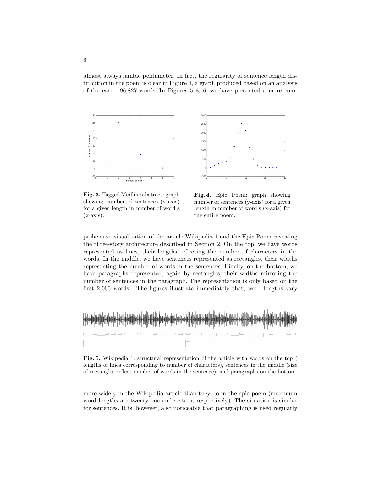almost always iambic pentameter. In fact, the regularity of sentence length distribution in the poem is clear in Figure 4, a graph produced based on an analysis of the entire  $96,827$  words. In Figures 5 & 6, we have presented a more com-





Fig. 3. Tagged Medline abstract: graph showing number of sentences (y-axis) for a given length in number of word s  $(x-axis)$ .

Fig. 4. Epic Poem: graph showing number of sentences (y-axis) for a given length in number of word s (x-axis) for the entire poem.

prehensive visualisation of the article Wikipedia 1 and the Epic Poem revealing the three-story architecture described in Section 2. On the top, we have words represented as lines, their lengths reflecting the number of characters in the words. In the middle, we have sentences represented as rectangles, their widths representing the number of words in the sentences. Finally, on the bottom, we have paragraphs represented, again by rectangles, their widths mirroring the number of sentences in the paragraph. The representation is only based on the first 2,000 words. The figures illustrate immediately that, word lengths vary



Fig. 5. Wikipedia 1: structural representation of the article with words on the top ( lengths of lines corresponding to number of characters), sentences in the middle (size of rectangles reflect number of words in the sentence), and paragraphs on the bottom.

more widely in the Wikipedia article than they do in the epic poem (maximum word lengths are twenty-one and sixteen, respectively). The situation is similar for sentences. It is, however, also noticeable that paragraphing is used regularly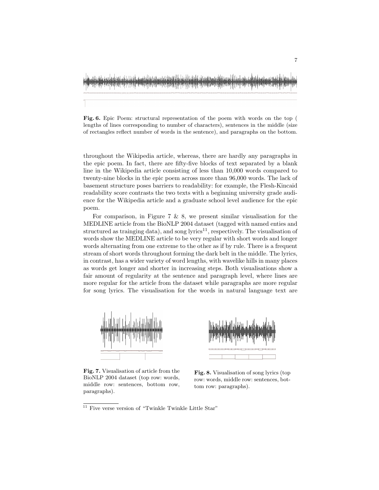

Fig. 6. Epic Poem: structural representation of the poem with words on the top ( lengths of lines corresponding to number of characters), sentences in the middle (size of rectangles reflect number of words in the sentence), and paragraphs on the bottom.

throughout the Wikipedia article, whereas, there are hardly any paragraphs in the epic poem. In fact, there are fifty-five blocks of text separated by a blank line in the Wikipedia article consisting of less than 10,000 words compared to twenty-nine blocks in the epic poem across more than 96,000 words. The lack of basement structure poses barriers to readability: for example, the Flesh-Kincaid readability score contrasts the two texts with a beginning university grade audience for the Wikipedia article and a graduate school level audience for the epic poem.

For comparison, in Figure 7  $\&$  8, we present similar visualisation for the MEDLINE article from the BioNLP 2004 dataset (tagged with named enties and structured as trainging data), and song lyrics<sup>11</sup>, respectively. The visualisation of words show the MEDLINE article to be very regular with short words and longer words alternating from one extreme to the other as if by rule. There is a frequent stream of short words throughout forming the dark belt in the middle. The lyrics, in contrast, has a wider variety of word lengths, with wavelike hills in many places as words get longer and shorter in increasing steps. Both visualisations show a fair amount of regularity at the sentence and paragraph level, where lines are more regular for the article from the dataset while paragraphs are more regular for song lyrics. The visualisation for the words in natural language text are



Fig. 7. Visualisation of article from the BioNLP 2004 dataset (top row: words, middle row: sentences, bottom row, paragraphs).



Fig. 8. Visualisation of song lyrics (top row: words, middle row: sentences, bottom row: paragraphs).

 $11$  Five verse version of "Twinkle Twinkle Little Star"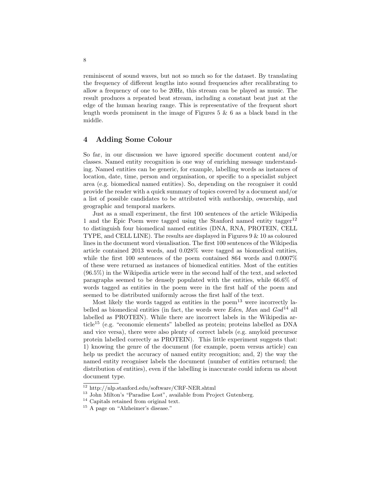reminiscent of sound waves, but not so much so for the dataset. By translating the frequency of different lengths into sound frequencies after recalibrating to allow a frequency of one to be 20Hz, this stream can be played as music. The result produces a repeated beat stream, including a constant beat just at the edge of the human hearing range. This is representative of the frequent short length words prominent in the image of Figures  $5 \& 6$  as a black band in the middle.

## 4 Adding Some Colour

So far, in our discussion we have ignored specific document content and/or classes. Named entity recognition is one way of enriching message understanding. Named entities can be generic, for example, labelling words as instances of location, date, time, person and organisation, or specific to a specialist subject area (e.g. biomedical named entities). So, depending on the recogniser it could provide the reader with a quick summary of topics covered by a document and/or a list of possible candidates to be attributed with authorship, ownership, and geographic and temporal markers.

Just as a small experiment, the first 100 sentences of the article Wikipedia 1 and the Epic Poem were tagged using the Stanford named entity tagger<sup>12</sup> to distinguish four biomedical named entities (DNA, RNA, PROTEIN, CELL TYPE, and CELL LINE). The results are displayed in Figures 9 & 10 as coloured lines in the document word visualisation. The first 100 sentences of the Wikipedia article contained 2013 words, and 0.028% were tagged as biomedical entities, while the first 100 sentences of the poem contained 864 words and 0.0007% of these were returned as instances of biomedical entities. Most of the entities (96.5%) in the Wikipedia article were in the second half of the text, and selected paragraphs seemed to be densely populated with the entities, while 66.6% of words tagged as entities in the poem were in the first half of the poem and seemed to be distributed uniformly across the first half of the text.

Most likely the words tagged as entities in the poem<sup>13</sup> were incorrectly labelled as biomedical entities (in fact, the words were *Eden, Man* and  $God^{14}$  all labelled as PROTEIN). While there are incorrect labels in the Wikipedia article<sup>15</sup> (e.g. "economic elements" labelled as protein; proteins labelled as DNA and vice versa), there were also plenty of correct labels (e.g. amyloid precursor protein labelled correctly as PROTEIN). This little experiment suggests that: 1) knowing the genre of the document (for example, poem versus article) can help us predict the accuracy of named entity recognition; and, 2) the way the named entity recogniser labels the document (number of entities returned; the distribution of entities), even if the labelling is inaccurate could inform us about document type.

<sup>12</sup> http://nlp.stanford.edu/software/CRF-NER.shtml

<sup>13</sup> John Milton's "Paradise Lost", available from Project Gutenberg.

<sup>&</sup>lt;sup>14</sup> Capitals retained from original text.

<sup>&</sup>lt;sup>15</sup> A page on "Alzheimer's disease."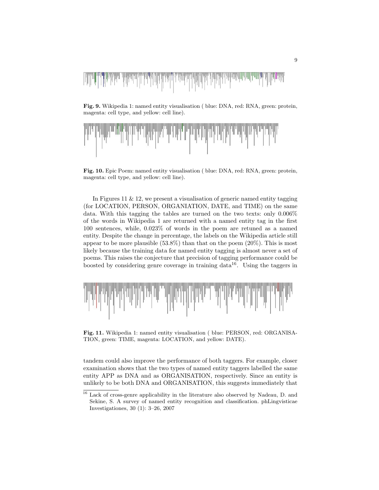

Fig. 9. Wikipedia 1: named entity visualisation ( blue: DNA, red: RNA, green: protein, magenta: cell type, and yellow: cell line).



Fig. 10. Epic Poem: named entity visualisation ( blue: DNA, red: RNA, green: protein, magenta: cell type, and yellow: cell line).

In Figures 11  $\&$  12, we present a visualisation of generic named entity tagging (for LOCATION, PERSON, ORGANIATION, DATE, and TIME) on the same data. With this tagging the tables are turned on the two texts: only 0.006% of the words in Wikipedia 1 are returned with a named entity tag in the first 100 sentences, while, 0.023% of words in the poem are retuned as a named entity. Despite the change in percentage, the labels on the Wikipedia article still appear to be more plausible  $(53.8\%)$  than that on the poem  $(20\%)$ . This is most likely because the training data for named entity tagging is almost never a set of poems. This raises the conjecture that precision of tagging performance could be boosted by considering genre coverage in training data<sup>16</sup>. Using the taggers in



Fig. 11. Wikipedia 1: named entity visualisation ( blue: PERSON, red: ORGANISA-TION, green: TIME, magenta: LOCATION, and yellow: DATE).

tandem could also improve the performance of both taggers. For example, closer examination shows that the two types of named entity taggers labelled the same entity APP as DNA and as ORGANISATION, respectively. Since an entity is unlikely to be both DNA and ORGANISATION, this suggests immediately that

 $^{16}$  Lack of cross-genre applicability in the literature also observed by Nadeau, D. and Sekine, S. A survey of named entity recognition and classification. phLingvisticae Investigationes, 30 (1): 3–26, 2007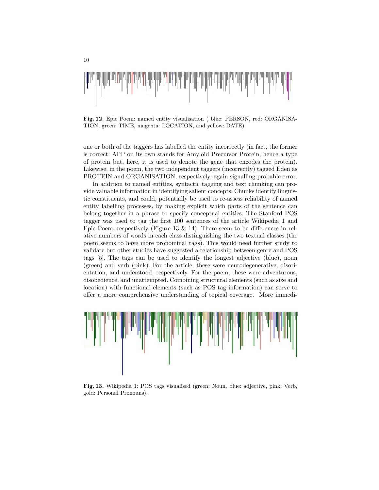

Fig. 12. Epic Poem: named entity visualisation ( blue: PERSON, red: ORGANISA-TION, green: TIME, magenta: LOCATION, and yellow: DATE).

one or both of the taggers has labelled the entity incorrectly (in fact, the former is correct: APP on its own stands for Amyloid Precursor Protein, hence a type of protein but, here, it is used to denote the gene that encodes the protein). Likewise, in the poem, the two independent taggers (incorrectly) tagged Eden as PROTEIN and ORGANISATION, respectively, again signalling probable error.

In addition to named entities, syntactic tagging and text chunking can provide valuable information in identifying salient concepts. Chunks identify linguistic constituents, and could, potentially be used to re-assess reliability of named entity labelling processes, by making explicit which parts of the sentence can belong together in a phrase to specify conceptual entities. The Stanford POS tagger was used to tag the first 100 sentences of the article Wikipedia 1 and Epic Poem, respectively (Figure 13  $\&$  14). There seem to be differences in relative numbers of words in each class distinguishing the two textual classes (the poem seems to have more pronominal tags). This would need further study to validate but other studies have suggested a relationship between genre and POS tags [5]. The tags can be used to identify the longest adjective (blue), noun (green) and verb (pink). For the article, these were neurodegenerative, disorientation, and understood, respectively. For the poem, these were adventurous, disobedience, and unattempted. Combining structural elements (such as size and location) with functional elements (such as POS tag information) can serve to offer a more comprehensive understanding of topical coverage. More immedi-



Fig. 13. Wikipedia 1: POS tags visualised (green: Noun, blue: adjective, pink: Verb, gold: Personal Pronouns).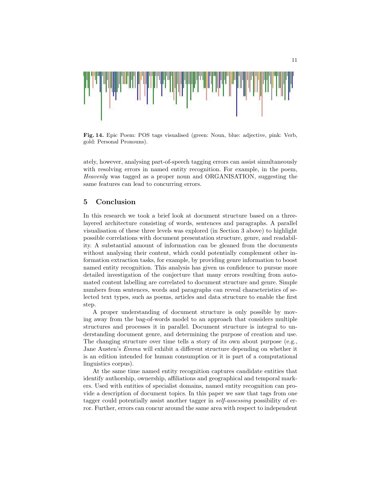

Fig. 14. Epic Poem: POS tags visualised (green: Noun, blue: adjective, pink: Verb, gold: Personal Pronouns).

ately, however, analysing part-of-speech tagging errors can assist simultaneously with resolving errors in named entity recognition. For example, in the poem, Heavenly was tagged as a proper noun and ORGANISATION, suggesting the same features can lead to concurring errors.

## 5 Conclusion

In this research we took a brief look at document structure based on a threelayered architecture consisting of words, sentences and paragraphs. A parallel visualisation of these three levels was explored (in Section 3 above) to highlight possible correlations with document presentation structure, genre, and readability. A substantial amount of information can be gleaned from the documents without analysing their content, which could potentially complement other information extraction tasks, for example, by providing genre information to boost named entity recognition. This analysis has given us confidence to pursue more detailed investigation of the conjecture that many errors resulting from automated content labelling are correlated to document structure and genre. Simple numbers from sentences, words and paragraphs can reveal characteristics of selected text types, such as poems, articles and data structure to enable the first step.

A proper understanding of document structure is only possible by moving away from the bag-of-words model to an approach that considers multiple structures and processes it in parallel. Document structure is integral to understanding document genre, and determining the purpose of creation and use. The changing structure over time tells a story of its own about purpose (e.g., Jane Austen's Emma will exhibit a different structure depending on whether it is an edition intended for human consumption or it is part of a computational linguistics corpus).

At the same time named entity recognition captures candidate entities that identify authorship, ownership, affiliations and geographical and temporal markers. Used with entities of specialist domains, named entity recognition can provide a description of document topics. In this paper we saw that tags from one tagger could potentially assist another tagger in self-assessing possibility of error. Further, errors can concur around the same area with respect to independent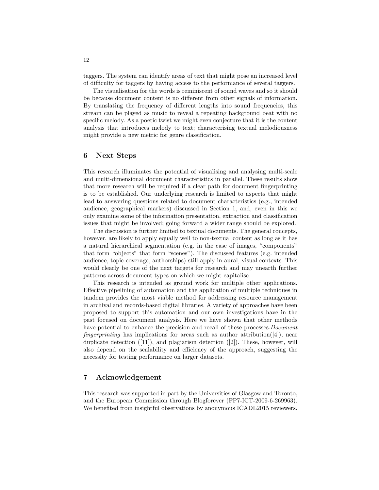taggers. The system can identify areas of text that might pose an increased level of difficulty for taggers by having access to the performance of several taggers.

The visualisation for the words is reminiscent of sound waves and so it should be because document content is no different from other signals of information. By translating the frequency of different lengths into sound frequencies, this stream can be played as music to reveal a repeating background beat with no specific melody. As a poetic twist we might even conjecture that it is the content analysis that introduces melody to text; characterising textual melodiousness might provide a new metric for genre classification.

#### 6 Next Steps

This research illuminates the potential of visualising and analysing multi-scale and multi-dimensional document characteristics in parallel. These results show that more research will be required if a clear path for document fingerprinting is to be established. Our underlying research is limited to aspects that might lead to answering questions related to document characteristics (e.g., intended audience, geographical markers) discussed in Section 1, and, even in this we only examine some of the information presentation, extraction and classification issues that might be involved; going forward a wider range should be explored.

The discussion is further limited to textual documents. The general concepts, however, are likely to apply equally well to non-textual content as long as it has a natural hierarchical segmentation (e.g. in the case of images, "components" that form "objects" that form "scenes"). The discussed features (e.g. intended audience, topic coverage, authorships) still apply in aural, visual contexts. This would clearly be one of the next targets for research and may unearth further patterns across document types on which we might capitalise.

This research is intended as ground work for multiple other applications. Effective pipelining of automation and the application of multiple techniques in tandem provides the most viable method for addressing resource management in archival and records-based digital libraries. A variety of approaches have been proposed to support this automation and our own investigations have in the past focused on document analysis. Here we have shown that other methods have potential to enhance the precision and recall of these processes. Document fingerprinting has implications for areas such as author attribution([4]), near duplicate detection  $(11)$ , and plagiarism detection  $(2)$ . These, however, will also depend on the scalability and efficiency of the approach, suggesting the necessity for testing performance on larger datasets.

## 7 Acknowledgement

This research was supported in part by the Universities of Glasgow and Toronto, and the European Commission through Blogforever (FP7-ICT-2009-6-269963). We benefited from insightful observations by anonymous ICADL2015 reviewers.